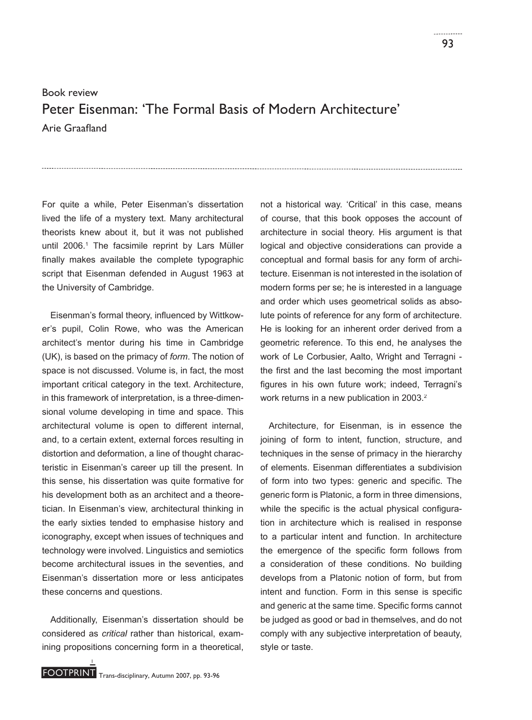## Book review Peter Eisenman: 'The Formal Basis of Modern Architecture' Arie Graafland

For quite a while, Peter Eisenman's dissertation lived the life of a mystery text. Many architectural theorists knew about it, but it was not published until 2006.1 The facsimile reprint by Lars Müller finally makes available the complete typographic script that Eisenman defended in August 1963 at the University of Cambridge.

Eisenman's formal theory, influenced by Wittkower's pupil, Colin Rowe, who was the American architect's mentor during his time in Cambridge (UK), is based on the primacy of *form*. The notion of space is not discussed. Volume is, in fact, the most important critical category in the text. Architecture, in this framework of interpretation, is a three-dimensional volume developing in time and space. This architectural volume is open to different internal, and, to a certain extent, external forces resulting in distortion and deformation, a line of thought characteristic in Eisenman's career up till the present. In this sense, his dissertation was quite formative for his development both as an architect and a theoretician. In Eisenman's view, architectural thinking in the early sixties tended to emphasise history and iconography, except when issues of techniques and technology were involved. Linguistics and semiotics become architectural issues in the seventies, and Eisenman's dissertation more or less anticipates these concerns and questions.

Additionally, Eisenman's dissertation should be considered as *critical* rather than historical, examining propositions concerning form in a theoretical, not a historical way. 'Critical' in this case, means of course, that this book opposes the account of architecture in social theory. His argument is that logical and objective considerations can provide a conceptual and formal basis for any form of architecture. Eisenman is not interested in the isolation of modern forms per se; he is interested in a language and order which uses geometrical solids as absolute points of reference for any form of architecture. He is looking for an inherent order derived from a geometric reference. To this end, he analyses the work of Le Corbusier, Aalto, Wright and Terragni the first and the last becoming the most important figures in his own future work; indeed, Terragni's work returns in a new publication in 2003.<sup>2</sup>

Architecture, for Eisenman, is in essence the joining of form to intent, function, structure, and techniques in the sense of primacy in the hierarchy of elements. Eisenman differentiates a subdivision of form into two types: generic and specific. The generic form is Platonic, a form in three dimensions, while the specific is the actual physical configuration in architecture which is realised in response to a particular intent and function. In architecture the emergence of the specific form follows from a consideration of these conditions. No building develops from a Platonic notion of form, but from intent and function. Form in this sense is specific and generic at the same time. Specific forms cannot be judged as good or bad in themselves, and do not comply with any subjective interpretation of beauty, style or taste.

1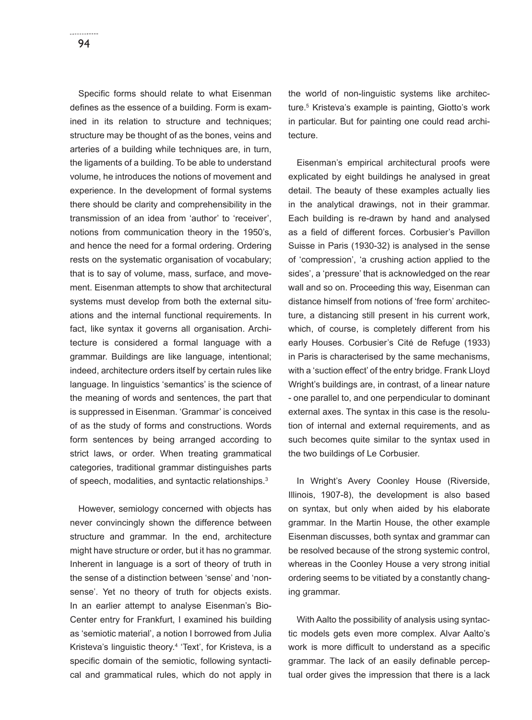Specific forms should relate to what Eisenman defines as the essence of a building. Form is examined in its relation to structure and techniques; structure may be thought of as the bones, veins and arteries of a building while techniques are, in turn, the ligaments of a building. To be able to understand volume, he introduces the notions of movement and experience. In the development of formal systems there should be clarity and comprehensibility in the transmission of an idea from 'author' to 'receiver', notions from communication theory in the 1950's, and hence the need for a formal ordering. Ordering rests on the systematic organisation of vocabulary; that is to say of volume, mass, surface, and movement. Eisenman attempts to show that architectural systems must develop from both the external situations and the internal functional requirements. In fact, like syntax it governs all organisation. Architecture is considered a formal language with a grammar. Buildings are like language, intentional; indeed, architecture orders itself by certain rules like language. In linguistics 'semantics' is the science of the meaning of words and sentences, the part that is suppressed in Eisenman. 'Grammar' is conceived of as the study of forms and constructions. Words form sentences by being arranged according to strict laws, or order. When treating grammatical categories, traditional grammar distinguishes parts of speech, modalities, and syntactic relationships.<sup>3</sup>

However, semiology concerned with objects has never convincingly shown the difference between structure and grammar. In the end, architecture might have structure or order, but it has no grammar. Inherent in language is a sort of theory of truth in the sense of a distinction between 'sense' and 'nonsense'. Yet no theory of truth for objects exists. In an earlier attempt to analyse Eisenman's Bio-Center entry for Frankfurt, I examined his building as 'semiotic material', a notion I borrowed from Julia Kristeva's linguistic theory.<sup>4</sup> 'Text', for Kristeva, is a specific domain of the semiotic, following syntactical and grammatical rules, which do not apply in

the world of non-linguistic systems like architecture.5 Kristeva's example is painting, Giotto's work in particular. But for painting one could read architecture.

Eisenman's empirical architectural proofs were explicated by eight buildings he analysed in great detail. The beauty of these examples actually lies in the analytical drawings, not in their grammar. Each building is re-drawn by hand and analysed as a field of different forces. Corbusier's Pavillon Suisse in Paris (1930-32) is analysed in the sense of 'compression', 'a crushing action applied to the sides', a 'pressure' that is acknowledged on the rear wall and so on. Proceeding this way, Eisenman can distance himself from notions of 'free form' architecture, a distancing still present in his current work, which, of course, is completely different from his early Houses. Corbusier's Cité de Refuge (1933) in Paris is characterised by the same mechanisms, with a 'suction effect' of the entry bridge. Frank Lloyd Wright's buildings are, in contrast, of a linear nature - one parallel to, and one perpendicular to dominant external axes. The syntax in this case is the resolution of internal and external requirements, and as such becomes quite similar to the syntax used in the two buildings of Le Corbusier.

In Wright's Avery Coonley House (Riverside, Illinois, 1907-8), the development is also based on syntax, but only when aided by his elaborate grammar. In the Martin House, the other example Eisenman discusses, both syntax and grammar can be resolved because of the strong systemic control, whereas in the Coonley House a very strong initial ordering seems to be vitiated by a constantly changing grammar.

With Aalto the possibility of analysis using syntactic models gets even more complex. Alvar Aalto's work is more difficult to understand as a specific grammar. The lack of an easily definable perceptual order gives the impression that there is a lack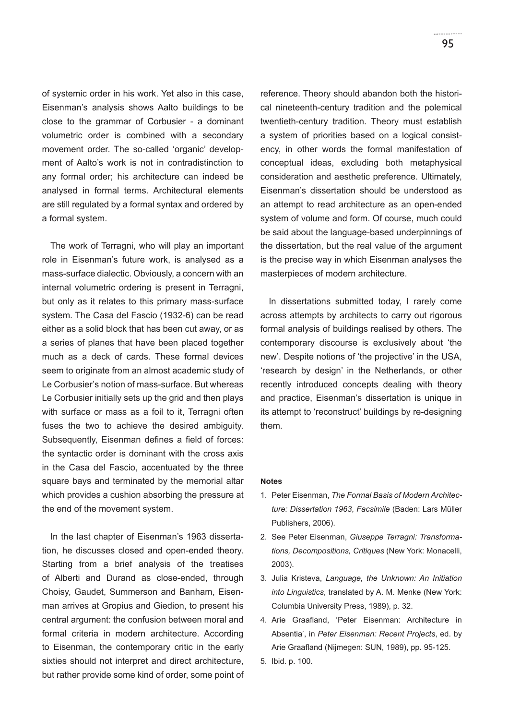of systemic order in his work. Yet also in this case, Eisenman's analysis shows Aalto buildings to be close to the grammar of Corbusier - a dominant volumetric order is combined with a secondary movement order. The so-called 'organic' development of Aalto's work is not in contradistinction to any formal order; his architecture can indeed be analysed in formal terms. Architectural elements are still regulated by a formal syntax and ordered by a formal system.

The work of Terragni, who will play an important role in Eisenman's future work, is analysed as a mass-surface dialectic. Obviously, a concern with an internal volumetric ordering is present in Terragni, but only as it relates to this primary mass-surface system. The Casa del Fascio (1932-6) can be read either as a solid block that has been cut away, or as a series of planes that have been placed together much as a deck of cards. These formal devices seem to originate from an almost academic study of Le Corbusier's notion of mass-surface. But whereas Le Corbusier initially sets up the grid and then plays with surface or mass as a foil to it, Terragni often fuses the two to achieve the desired ambiguity. Subsequently, Eisenman defines a field of forces: the syntactic order is dominant with the cross axis in the Casa del Fascio, accentuated by the three square bays and terminated by the memorial altar which provides a cushion absorbing the pressure at the end of the movement system.

In the last chapter of Eisenman's 1963 dissertation, he discusses closed and open-ended theory. Starting from a brief analysis of the treatises of Alberti and Durand as close-ended, through Choisy, Gaudet, Summerson and Banham, Eisenman arrives at Gropius and Giedion, to present his central argument: the confusion between moral and formal criteria in modern architecture. According to Eisenman, the contemporary critic in the early sixties should not interpret and direct architecture, but rather provide some kind of order, some point of reference. Theory should abandon both the historical nineteenth-century tradition and the polemical twentieth-century tradition. Theory must establish a system of priorities based on a logical consistency, in other words the formal manifestation of conceptual ideas, excluding both metaphysical consideration and aesthetic preference. Ultimately, Eisenman's dissertation should be understood as an attempt to read architecture as an open-ended system of volume and form. Of course, much could be said about the language-based underpinnings of the dissertation, but the real value of the argument is the precise way in which Eisenman analyses the masterpieces of modern architecture.

In dissertations submitted today, I rarely come across attempts by architects to carry out rigorous formal analysis of buildings realised by others. The contemporary discourse is exclusively about 'the new'. Despite notions of 'the projective' in the USA, 'research by design' in the Netherlands, or other recently introduced concepts dealing with theory and practice, Eisenman's dissertation is unique in its attempt to 'reconstruct' buildings by re-designing them.

## **Notes**

- 1. Peter Eisenman, *The Formal Basis of Modern Architecture: Dissertation 1963*, *Facsimile* (Baden: Lars Müller Publishers, 2006).
- 2. See Peter Eisenman, *Giuseppe Terragni: Transformations, Decompositions, Critiques* (New York: Monacelli, 2003).
- 3. Julia Kristeva, *Language, the Unknown: An Initiation into Linguistics*, translated by A. M. Menke (New York: Columbia University Press, 1989), p. 32.
- 4. Arie Graafland, 'Peter Eisenman: Architecture in Absentia', in *Peter Eisenman: Recent Projects*, ed. by Arie Graafland (Nijmegen: SUN, 1989), pp. 95-125.
- 5. Ibid. p. 100.